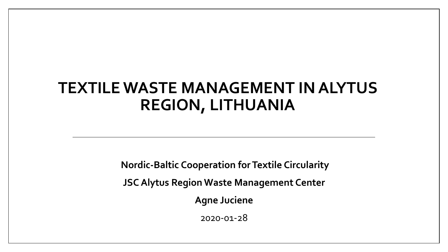#### **TEXTILE WASTE MANAGEMENT IN ALYTUS REGION, LITHUANIA**

**Nordic-Baltic Cooperation for Textile Circularity** 

**JSC Alytus Region Waste Management Center**

**Agne Juciene**

2020-01-28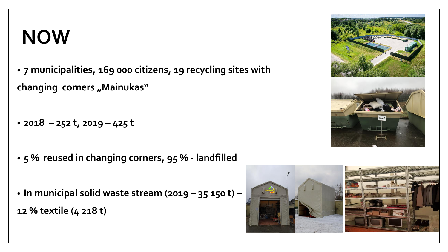### **NOW**

• **7 municipalities, 169 000 citizens, 19 recycling sites with**  changing corners "Mainukas"

- **2018 – 252 t, 2019 – 425 t**
- **5 % reused in changing corners, 95 % - landfilled**
- **In municipal solid waste stream (2019 – 35 150 t) – 12 % textile (4 218 t)**



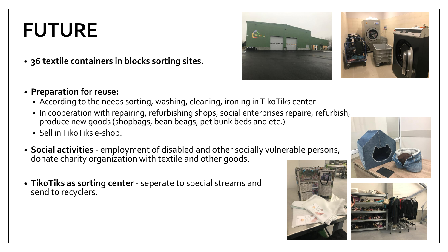## **FUTURE**

- **36 textile containers in blocks sorting sites.**
- **Preparation for reuse:**
	- According to the needs sorting, washing, cleaning, ironing in TikoTiks center
	- In cooperation with repairing, refurbishing shops, social enterprises repaire, refurbish, produce new goods (shopbags, bean beags, pet bunk beds and etc.)
	- Sell in TikoTiks e-shop.
- **Social activities**  employment of disabled and other socially vulnerable persons, donate charity organization with textile and other goods.
- **TikoTiks as sorting center** seperate to special streams and send to recyclers.







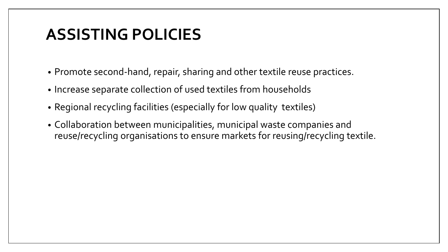### **ASSISTING POLICIES**

- Promote second-hand, repair, sharing and other textile reuse practices.
- Increase separate collection of used textiles from households
- Regional recycling facilities (especially for low quality textiles)
- Collaboration between municipalities, municipal waste companies and reuse/recycling organisations to ensure markets for reusing/recycling textile.